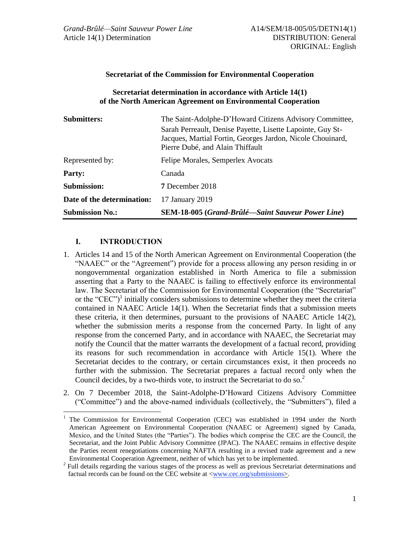### **Secretariat of the Commission for Environmental Cooperation**

### **Secretariat determination in accordance with Article 14(1) of the North American Agreement on Environmental Cooperation**

| <b>Submitters:</b>         | The Saint-Adolphe-D'Howard Citizens Advisory Committee,                                        |
|----------------------------|------------------------------------------------------------------------------------------------|
|                            | Sarah Perreault, Denise Payette, Lisette Lapointe, Guy St-                                     |
|                            | Jacques, Martial Fortin, Georges Jardon, Nicole Chouinard,<br>Pierre Dubé, and Alain Thiffault |
| Represented by:            | Felipe Morales, Semperlex Avocats                                                              |
| <b>Party:</b>              | Canada                                                                                         |
| Submission:                | <b>7</b> December 2018                                                                         |
| Date of the determination: | 17 January 2019                                                                                |
| <b>Submission No.:</b>     | <b>SEM-18-005 (Grand-Brûlé—Saint Sauveur Power Line)</b>                                       |

## **I. INTRODUCTION**

- 1. Articles 14 and 15 of the North American Agreement on Environmental Cooperation (the "NAAEC" or the "Agreement") provide for a process allowing any person residing in or nongovernmental organization established in North America to file a submission asserting that a Party to the NAAEC is failing to effectively enforce its environmental law. The Secretariat of the Commission for Environmental Cooperation (the "Secretariat" or the "CEC")<sup>1</sup> initially considers submissions to determine whether they meet the criteria contained in NAAEC Article 14(1). When the Secretariat finds that a submission meets these criteria, it then determines, pursuant to the provisions of NAAEC Article 14(2), whether the submission merits a response from the concerned Party. In light of any response from the concerned Party, and in accordance with NAAEC, the Secretariat may notify the Council that the matter warrants the development of a factual record, providing its reasons for such recommendation in accordance with Article 15(1). Where the Secretariat decides to the contrary, or certain circumstances exist, it then proceeds no further with the submission. The Secretariat prepares a factual record only when the Council decides, by a two-thirds vote, to instruct the Secretariat to do so.<sup>2</sup>
- 2. On 7 December 2018, the Saint-Adolphe-D'Howard Citizens Advisory Committee ("Committee") and the above-named individuals (collectively, the "Submitters"), filed a

<sup>1</sup> The Commission for Environmental Cooperation (CEC) was established in 1994 under the North American Agreement on Environmental Cooperation (NAAEC or Agreement) signed by Canada, Mexico, and the United States (the "Parties"). The bodies which comprise the CEC are the Council, the Secretariat, and the Joint Public Advisory Committee (JPAC). The NAAEC remains in effective despite the Parties recent renegotiations concerning NAFTA resulting in a revised trade agreement and a new Environmental Cooperation Agreement, neither of which has yet to be implemented.

<sup>&</sup>lt;sup>2</sup> Full details regarding the various stages of the process as well as previous Secretariat determinations and factual records can be found on the CEC website at  $\langle$ www.cec.org/submissions>.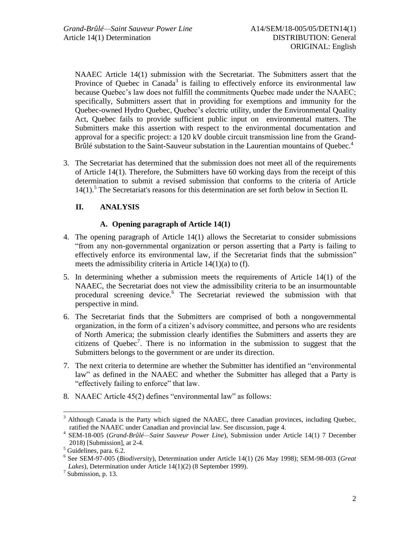NAAEC Article 14(1) submission with the Secretariat. The Submitters assert that the Province of Quebec in Canada<sup>3</sup> is failing to effectively enforce its environmental law because Quebec's law does not fulfill the commitments Quebec made under the NAAEC; specifically, Submitters assert that in providing for exemptions and immunity for the Quebec-owned Hydro Quebec, Quebec's electric utility, under the Environmental Quality Act, Quebec fails to provide sufficient public input on environmental matters. The Submitters make this assertion with respect to the environmental documentation and approval for a specific project: a 120 kV double circuit transmission line from the Grand-Brûlé substation to the Saint-Sauveur substation in the Laurentian mountains of Quebec.<sup>4</sup>

3. The Secretariat has determined that the submission does not meet all of the requirements of Article 14(1). Therefore, the Submitters have 60 working days from the receipt of this determination to submit a revised submission that conforms to the criteria of Article 14(1).<sup>5</sup> The Secretariat's reasons for this determination are set forth below in Section II.

# **II. ANALYSIS**

## **A. Opening paragraph of Article 14(1)**

- 4. The opening paragraph of Article 14(1) allows the Secretariat to consider submissions "from any non-governmental organization or person asserting that a Party is failing to effectively enforce its environmental law, if the Secretariat finds that the submission" meets the admissibility criteria in Article 14(1)(a) to (f).
- 5. In determining whether a submission meets the requirements of Article 14(1) of the NAAEC, the Secretariat does not view the admissibility criteria to be an insurmountable procedural screening device.<sup>6</sup> The Secretariat reviewed the submission with that perspective in mind.
- 6. The Secretariat finds that the Submitters are comprised of both a nongovernmental organization, in the form of a citizen's advisory committee, and persons who are residents of North America; the submission clearly identifies the Submitters and asserts they are citizens of Quebec<sup>7</sup>. There is no information in the submission to suggest that the Submitters belongs to the government or are under its direction.
- 7. The next criteria to determine are whether the Submitter has identified an "environmental law" as defined in the NAAEC and whether the Submitter has alleged that a Party is "effectively failing to enforce" that law.
- 8. NAAEC Article 45(2) defines "environmental law" as follows:

 $3$  Although Canada is the Party which signed the NAAEC, three Canadian provinces, including Quebec, ratified the NAAEC under Canadian and provincial law. See discussion, page 4.

<sup>4</sup> SEM-18-005 (*Grand-Brûlé—Saint Sauveur Power Line*), Submission under Article 14(1) 7 December 2018) [Submission], at 2-4.

<sup>5</sup> Guidelines, para. 6.2.

<sup>6</sup> See SEM-97-005 (*Biodiversity*), Determination under Article 14(1) (26 May 1998); SEM-98-003 (*Great Lakes*), Determination under Article 14(1)(2) (8 September 1999).

<sup>&</sup>lt;sup>7</sup> Submission, p. 13.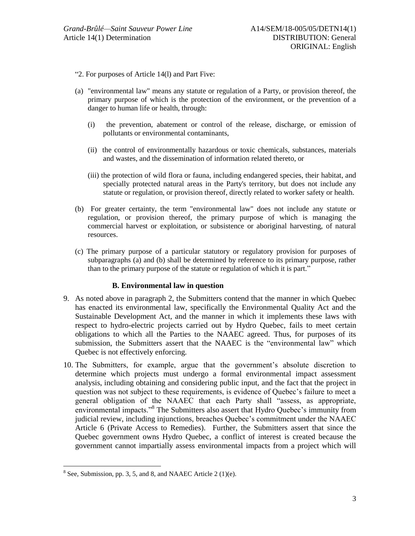- "2. For purposes of Article 14(l) and Part Five:
- (a) "environmental law" means any statute or regulation of a Party, or provision thereof, the primary purpose of which is the protection of the environment, or the prevention of a danger to human life or health, through:
	- (i) the prevention, abatement or control of the release, discharge, or emission of pollutants or environmental contaminants,
	- (ii) the control of environmentally hazardous or toxic chemicals, substances, materials and wastes, and the dissemination of information related thereto, or
	- (iii) the protection of wild flora or fauna, including endangered species, their habitat, and specially protected natural areas in the Party's territory, but does not include any statute or regulation, or provision thereof, directly related to worker safety or health.
- (b) For greater certainty, the term "environmental law" does not include any statute or regulation, or provision thereof, the primary purpose of which is managing the commercial harvest or exploitation, or subsistence or aboriginal harvesting, of natural resources.
- (c) The primary purpose of a particular statutory or regulatory provision for purposes of subparagraphs (a) and (b) shall be determined by reference to its primary purpose, rather than to the primary purpose of the statute or regulation of which it is part."

### **B. Environmental law in question**

- 9. As noted above in paragraph 2, the Submitters contend that the manner in which Quebec has enacted its environmental law, specifically the Environmental Quality Act and the Sustainable Development Act, and the manner in which it implements these laws with respect to hydro-electric projects carried out by Hydro Quebec, fails to meet certain obligations to which all the Parties to the NAAEC agreed. Thus, for purposes of its submission, the Submitters assert that the NAAEC is the "environmental law" which Quebec is not effectively enforcing.
- 10. The Submitters, for example, argue that the government's absolute discretion to determine which projects must undergo a formal environmental impact assessment analysis, including obtaining and considering public input, and the fact that the project in question was not subject to these requirements, is evidence of Quebec's failure to meet a general obligation of the NAAEC that each Party shall "assess, as appropriate, environmental impacts."<sup>8</sup> The Submitters also assert that Hydro Quebec's immunity from judicial review, including injunctions, breaches Quebec's commitment under the NAAEC Article 6 (Private Access to Remedies). Further, the Submitters assert that since the Quebec government owns Hydro Quebec, a conflict of interest is created because the government cannot impartially assess environmental impacts from a project which will

 $8 \text{ See, Submission, pp. 3, 5, and 8, and NAAEC Article 2 (1)(e).}$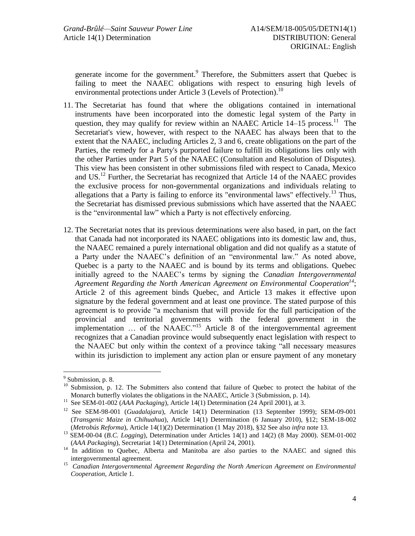generate income for the government.<sup>9</sup> Therefore, the Submitters assert that Quebec is failing to meet the NAAEC obligations with respect to ensuring high levels of environmental protections under Article 3 (Levels of Protection).<sup>10</sup>

- 11. The Secretariat has found that where the obligations contained in international instruments have been incorporated into the domestic legal system of the Party in question, they may qualify for review within an NAAEC Article  $14-15$  process.<sup>11</sup> The Secretariat's view, however, with respect to the NAAEC has always been that to the extent that the NAAEC, including Articles 2, 3 and 6, create obligations on the part of the Parties, the remedy for a Party's purported failure to fulfill its obligations lies only with the other Parties under Part 5 of the NAAEC (Consultation and Resolution of Disputes). This view has been consistent in other submissions filed with respect to Canada, Mexico and US.<sup>12</sup> Further, the Secretariat has recognized that Article 14 of the NAAEC provides the exclusive process for non-governmental organizations and individuals relating to allegations that a Party is failing to enforce its "environmental laws" effectively.<sup>13</sup> Thus, the Secretariat has dismissed previous submissions which have asserted that the NAAEC is the "environmental law" which a Party is not effectively enforcing.
- 12. The Secretariat notes that its previous determinations were also based, in part, on the fact that Canada had not incorporated its NAAEC obligations into its domestic law and, thus, the NAAEC remained a purely international obligation and did not qualify as a statute of a Party under the NAAEC's definition of an "environmental law." As noted above, Quebec is a party to the NAAEC and is bound by its terms and obligations. Quebec initially agreed to the NAAEC's terms by signing the *Canadian Intergovernmental Agreement Regarding the North American Agreement on Environmental Cooperation<sup>14</sup>*; Article 2 of this agreement binds Quebec, and Article 13 makes it effective upon signature by the federal government and at least one province. The stated purpose of this agreement is to provide "a mechanism that will provide for the full participation of the provincial and territorial governments with the federal government in the implementation  $\ldots$  of the NAAEC."<sup>15</sup> Article 8 of the intergovernmental agreement recognizes that a Canadian province would subsequently enact legislation with respect to the NAAEC but only within the context of a province taking "all necessary measures within its jurisdiction to implement any action plan or ensure payment of any monetary

<sup>&</sup>lt;sup>9</sup> Submission, p. 8.

<sup>&</sup>lt;sup>10</sup> Submission, p. 12. The Submitters also contend that failure of Quebec to protect the habitat of the Monarch butterfly violates the obligations in the NAAEC, Article 3 (Submission, p. 14).

<sup>&</sup>lt;sup>11</sup> See SEM-01-002 (*AAA Packaging*), Article 14(1) Determination (24 April 2001), at 3.

<sup>&</sup>lt;sup>12</sup> See SEM-98-001 (*Guadalajara*), Article 14(1) Determination (13 September 1999); SEM-09-001 (*Transgenic Maize in Chihuahua*), Article 14(1) Determination (6 January 2010), §12; SEM-18-002 (*Metrobús Reforma*), Article 14(1)(2) Determination (1 May 2018), §32 See also *infra* note 13.

<sup>13</sup> SEM-00-04 (*B.C. Logging*), Determination under Articles 14(1) and 14(2) (8 May 2000). SEM-01-002 (*AAA Packaging*), Secretariat 14(1) Determination (April 24, 2001).

<sup>&</sup>lt;sup>14</sup> In addition to Quebec, Alberta and Manitoba are also parties to the NAAEC and signed this intergovernmental agreement.

<sup>15</sup> *Canadian Intergovernmental Agreement Regarding the North American Agreement on Environmental Cooperation,* Article 1*.*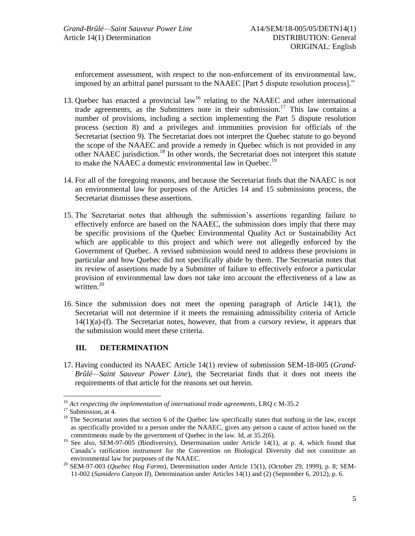enforcement assessment, with respect to the non-enforcement of its environmental law, imposed by an arbitral panel pursuant to the NAAEC [Part 5 dispute resolution process]."

- 13. Quebec has enacted a provincial law<sup>16</sup> relating to the NAAEC and other international trade agreements, as the Submitters note in their submission. <sup>17</sup> This law contains a number of provisions, including a section implementing the Part 5 dispute resolution process (section 8) and a privileges and immunities provision for officials of the Secretariat (section 9). The Secretariat does not interpret the Quebec statute to go beyond the scope of the NAAEC and provide a remedy in Quebec which is not provided in any other NAAEC jurisdiction.<sup>18</sup> In other words, the Secretariat does not interpret this statute to make the NAAEC a domestic environmental law in Quebec.<sup>19</sup>
- 14. For all of the foregoing reasons, and because the Secretariat finds that the NAAEC is not an environmental law for purposes of the Articles 14 and 15 submissions process, the Secretariat dismisses these assertions.
- 15. The Secretariat notes that although the submission's assertions regarding failure to effectively enforce are based on the NAAEC, the submission does imply that there may be specific provisions of the Quebec Environmental Quality Act or Sustainability Act which are applicable to this project and which were not allegedly enforced by the Government of Quebec. A revised submission would need to address these provisions in particular and how Quebec did not specifically abide by them. The Secretariat notes that its review of assertions made by a Submitter of failure to effectively enforce a particular provision of environmental law does not take into account the effectiveness of a law as written.<sup>20</sup>
- 16. Since the submission does not meet the opening paragraph of Article 14(1), the Secretariat will not determine if it meets the remaining admissibility criteria of Article  $14(1)(a)$ -(f). The Secretariat notes, however, that from a cursory review, it appears that the submission would meet these criteria.

## **III. DETERMINATION**

17. Having conducted its NAAEC Article 14(1) review of submission SEM-18-005 (*Grand-Brûlé—Saint Sauveur Power Line*), the Secretariat finds that it does not meets the requirements of that article for the reasons set out herein.

<sup>16</sup> *Act respecting the implementation of international trade agreements*, LRQ c M-35.2

<sup>&</sup>lt;sup>17</sup> Submission, at 4.

<sup>&</sup>lt;sup>18</sup> The Secretariat notes that section 6 of the Quebec law specifically states that nothing in the law, except as specifically provided to a person under the NAAEC, gives any person a cause of action based on the commitments made by the government of Quebec in the law. Id, at 35.2(6).

<sup>&</sup>lt;sup>19</sup> See also, SEM-97-005 (Biodiversity), Determination under Article 14(1), at p. 4, which found that Canada's ratification instrument for the Convention on Biological Diversity did not constitute an environmental law for purposes of the NAAEC.

<sup>20</sup> SEM-97-003 (*Quebec Hog Farms*), Determination under Article 15(1), (October 29, 1999), p. 8; SEM-11-002 (*Sumidero Canyon II*), Determination under Articles 14(1) and (2) (September 6, 2012), p. 6.